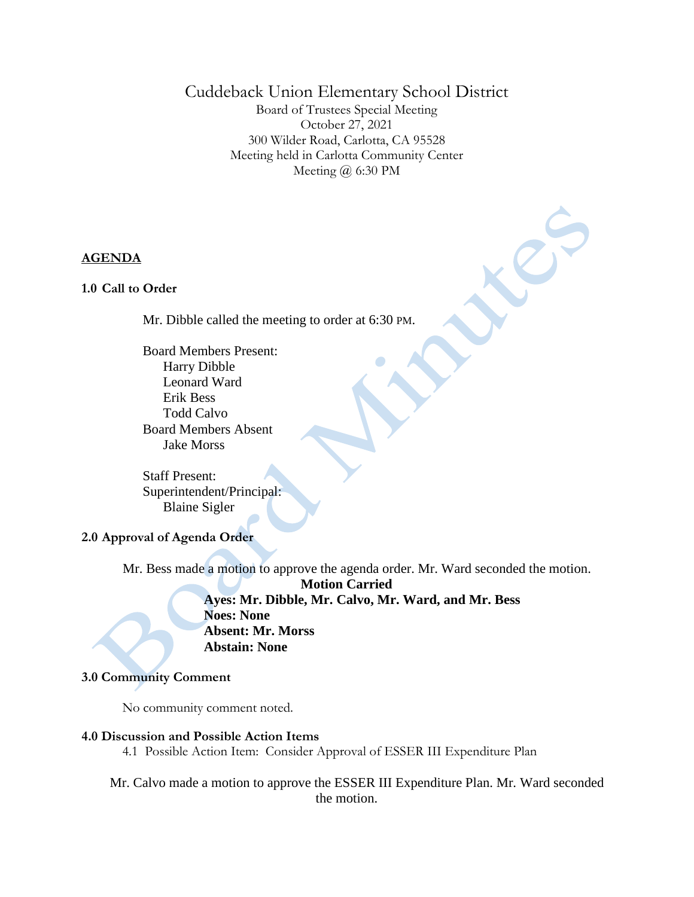# Cuddeback Union Elementary School District

Board of Trustees Special Meeting October 27, 2021 300 Wilder Road, Carlotta, CA 95528 Meeting held in Carlotta Community Center Meeting @ 6:30 PM

CCC

### **AGENDA**

#### **1.0 Call to Order**

Mr. Dibble called the meeting to order at 6:30 PM.

Board Members Present: Harry Dibble Leonard Ward Erik Bess Todd Calvo Board Members Absent Jake Morss

Staff Present: Superintendent/Principal: Blaine Sigler

## **2.0 Approval of Agenda Order**

Mr. Bess made a motion to approve the agenda order. Mr. Ward seconded the motion. **Motion Carried Ayes: Mr. Dibble, Mr. Calvo, Mr. Ward, and Mr. Bess Noes: None Absent: Mr. Morss Abstain: None**

#### **3.0 Community Comment**

No community comment noted.

#### **4.0 Discussion and Possible Action Items**

- 4.1 Possible Action Item: Consider Approval of ESSER III Expenditure Plan
- Mr. Calvo made a motion to approve the ESSER III Expenditure Plan. Mr. Ward seconded the motion.